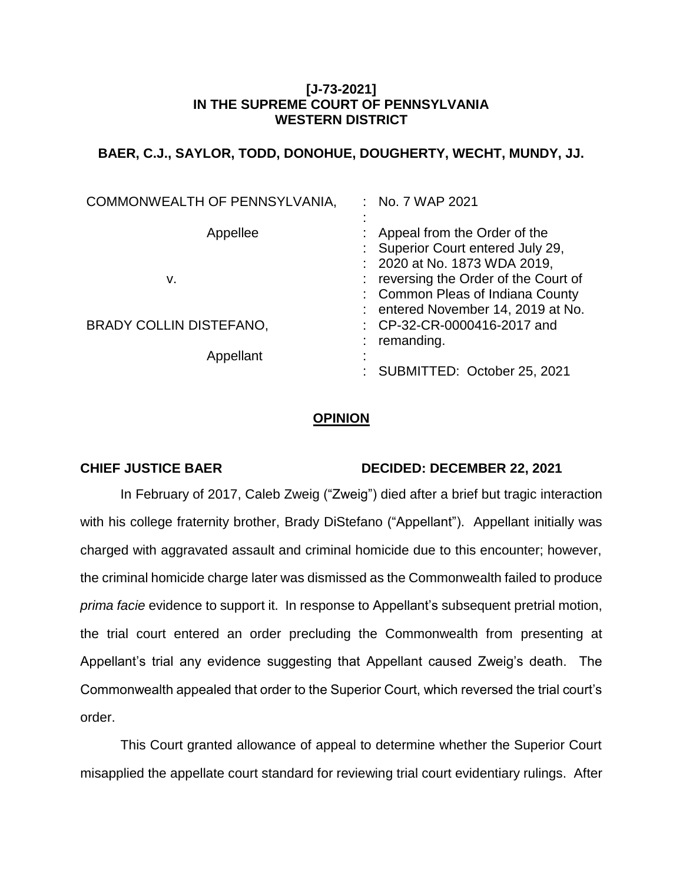# **[J-73-2021] IN THE SUPREME COURT OF PENNSYLVANIA WESTERN DISTRICT**

# **BAER, C.J., SAYLOR, TODD, DONOHUE, DOUGHERTY, WECHT, MUNDY, JJ.**

| COMMONWEALTH OF PENNSYLVANIA,  | : No. 7 WAP 2021                                                                                                                              |
|--------------------------------|-----------------------------------------------------------------------------------------------------------------------------------------------|
| Appellee                       | : Appeal from the Order of the<br>Superior Court entered July 29,                                                                             |
| v.                             | : 2020 at No. 1873 WDA 2019,<br>reversing the Order of the Court of<br>: Common Pleas of Indiana County<br>: entered November 14, 2019 at No. |
| <b>BRADY COLLIN DISTEFANO,</b> | : CP-32-CR-0000416-2017 and<br>remanding.                                                                                                     |
| Appellant                      | SUBMITTED: October 25, 2021                                                                                                                   |

# **OPINION**

## **CHIEF JUSTICE BAER DECIDED: DECEMBER 22, 2021**

In February of 2017, Caleb Zweig ("Zweig") died after a brief but tragic interaction with his college fraternity brother, Brady DiStefano ("Appellant"). Appellant initially was charged with aggravated assault and criminal homicide due to this encounter; however, the criminal homicide charge later was dismissed as the Commonwealth failed to produce *prima facie* evidence to support it. In response to Appellant's subsequent pretrial motion, the trial court entered an order precluding the Commonwealth from presenting at Appellant's trial any evidence suggesting that Appellant caused Zweig's death. The Commonwealth appealed that order to the Superior Court, which reversed the trial court's order.

This Court granted allowance of appeal to determine whether the Superior Court misapplied the appellate court standard for reviewing trial court evidentiary rulings. After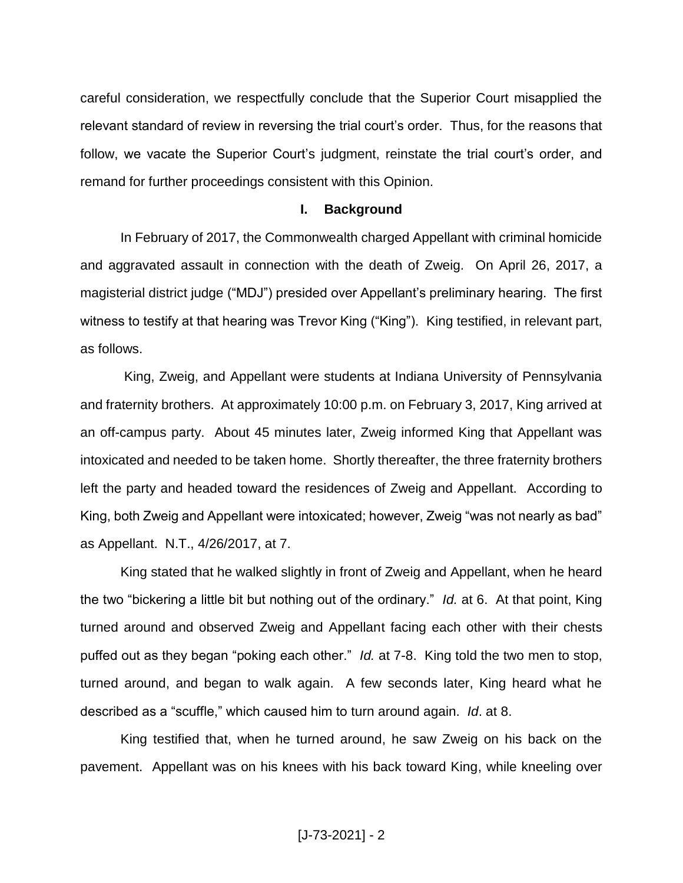careful consideration, we respectfully conclude that the Superior Court misapplied the relevant standard of review in reversing the trial court's order. Thus, for the reasons that follow, we vacate the Superior Court's judgment, reinstate the trial court's order, and remand for further proceedings consistent with this Opinion.

### **I. Background**

In February of 2017, the Commonwealth charged Appellant with criminal homicide and aggravated assault in connection with the death of Zweig. On April 26, 2017, a magisterial district judge ("MDJ") presided over Appellant's preliminary hearing. The first witness to testify at that hearing was Trevor King ("King"). King testified, in relevant part, as follows.

King, Zweig, and Appellant were students at Indiana University of Pennsylvania and fraternity brothers. At approximately 10:00 p.m. on February 3, 2017, King arrived at an off-campus party. About 45 minutes later, Zweig informed King that Appellant was intoxicated and needed to be taken home. Shortly thereafter, the three fraternity brothers left the party and headed toward the residences of Zweig and Appellant. According to King, both Zweig and Appellant were intoxicated; however, Zweig "was not nearly as bad" as Appellant. N.T., 4/26/2017, at 7.

King stated that he walked slightly in front of Zweig and Appellant, when he heard the two "bickering a little bit but nothing out of the ordinary." *Id.* at 6. At that point, King turned around and observed Zweig and Appellant facing each other with their chests puffed out as they began "poking each other." *Id.* at 7-8. King told the two men to stop, turned around, and began to walk again. A few seconds later, King heard what he described as a "scuffle," which caused him to turn around again. *Id*. at 8.

King testified that, when he turned around, he saw Zweig on his back on the pavement. Appellant was on his knees with his back toward King, while kneeling over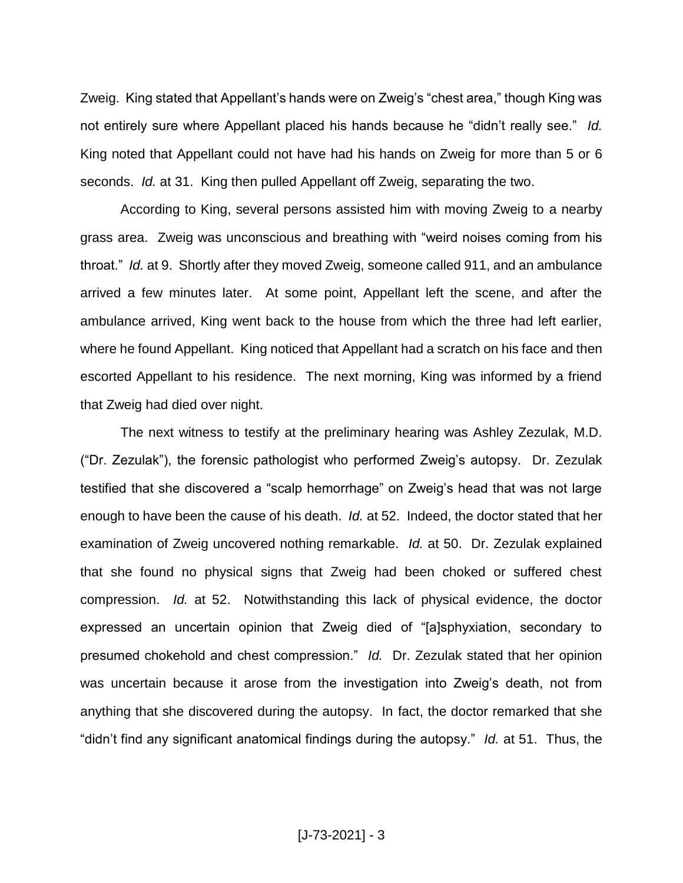Zweig. King stated that Appellant's hands were on Zweig's "chest area," though King was not entirely sure where Appellant placed his hands because he "didn't really see." *Id.* King noted that Appellant could not have had his hands on Zweig for more than 5 or 6 seconds. *Id.* at 31. King then pulled Appellant off Zweig, separating the two.

According to King, several persons assisted him with moving Zweig to a nearby grass area. Zweig was unconscious and breathing with "weird noises coming from his throat." *Id.* at 9. Shortly after they moved Zweig, someone called 911, and an ambulance arrived a few minutes later. At some point, Appellant left the scene, and after the ambulance arrived, King went back to the house from which the three had left earlier, where he found Appellant. King noticed that Appellant had a scratch on his face and then escorted Appellant to his residence. The next morning, King was informed by a friend that Zweig had died over night.

The next witness to testify at the preliminary hearing was Ashley Zezulak, M.D. ("Dr. Zezulak"), the forensic pathologist who performed Zweig's autopsy. Dr. Zezulak testified that she discovered a "scalp hemorrhage" on Zweig's head that was not large enough to have been the cause of his death. *Id.* at 52. Indeed, the doctor stated that her examination of Zweig uncovered nothing remarkable. *Id.* at 50. Dr. Zezulak explained that she found no physical signs that Zweig had been choked or suffered chest compression. *Id.* at 52. Notwithstanding this lack of physical evidence, the doctor expressed an uncertain opinion that Zweig died of "[a]sphyxiation, secondary to presumed chokehold and chest compression." *Id.* Dr. Zezulak stated that her opinion was uncertain because it arose from the investigation into Zweig's death, not from anything that she discovered during the autopsy. In fact, the doctor remarked that she "didn't find any significant anatomical findings during the autopsy." *Id.* at 51. Thus, the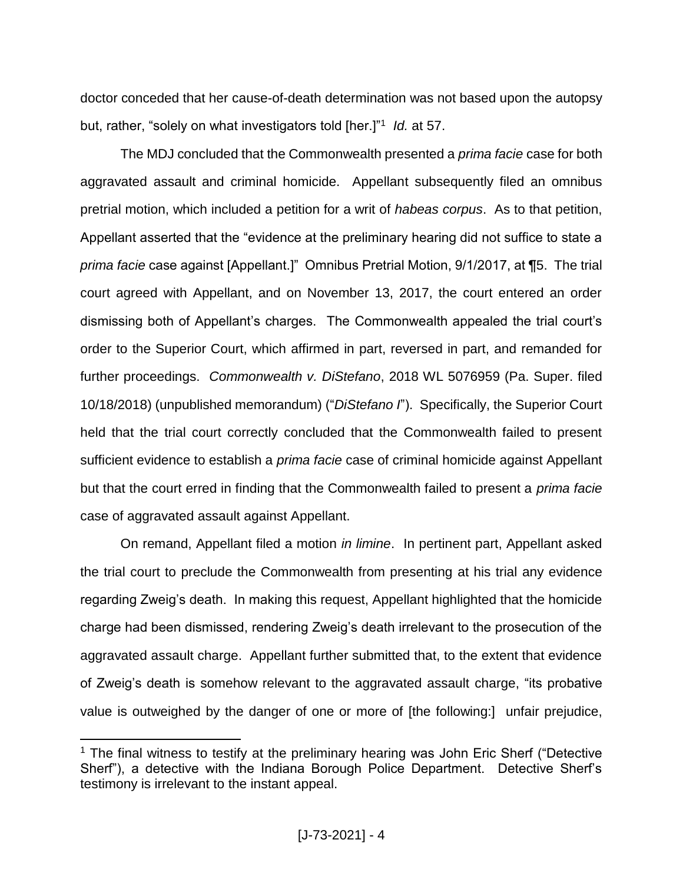doctor conceded that her cause-of-death determination was not based upon the autopsy but, rather, "solely on what investigators told [her.]"<sup>1</sup> Id. at 57.

The MDJ concluded that the Commonwealth presented a *prima facie* case for both aggravated assault and criminal homicide. Appellant subsequently filed an omnibus pretrial motion, which included a petition for a writ of *habeas corpus*. As to that petition, Appellant asserted that the "evidence at the preliminary hearing did not suffice to state a *prima facie* case against [Appellant.]" Omnibus Pretrial Motion, 9/1/2017, at ¶5. The trial court agreed with Appellant, and on November 13, 2017, the court entered an order dismissing both of Appellant's charges. The Commonwealth appealed the trial court's order to the Superior Court, which affirmed in part, reversed in part, and remanded for further proceedings. *Commonwealth v. DiStefano*, 2018 WL 5076959 (Pa. Super. filed 10/18/2018) (unpublished memorandum) ("*DiStefano I*"). Specifically, the Superior Court held that the trial court correctly concluded that the Commonwealth failed to present sufficient evidence to establish a *prima facie* case of criminal homicide against Appellant but that the court erred in finding that the Commonwealth failed to present a *prima facie* case of aggravated assault against Appellant.

On remand, Appellant filed a motion *in limine*. In pertinent part, Appellant asked the trial court to preclude the Commonwealth from presenting at his trial any evidence regarding Zweig's death. In making this request, Appellant highlighted that the homicide charge had been dismissed, rendering Zweig's death irrelevant to the prosecution of the aggravated assault charge. Appellant further submitted that, to the extent that evidence of Zweig's death is somehow relevant to the aggravated assault charge, "its probative value is outweighed by the danger of one or more of [the following:] unfair prejudice,

 $\overline{a}$ 

<sup>&</sup>lt;sup>1</sup> The final witness to testify at the preliminary hearing was John Eric Sherf ("Detective Sherf"), a detective with the Indiana Borough Police Department. Detective Sherf's testimony is irrelevant to the instant appeal.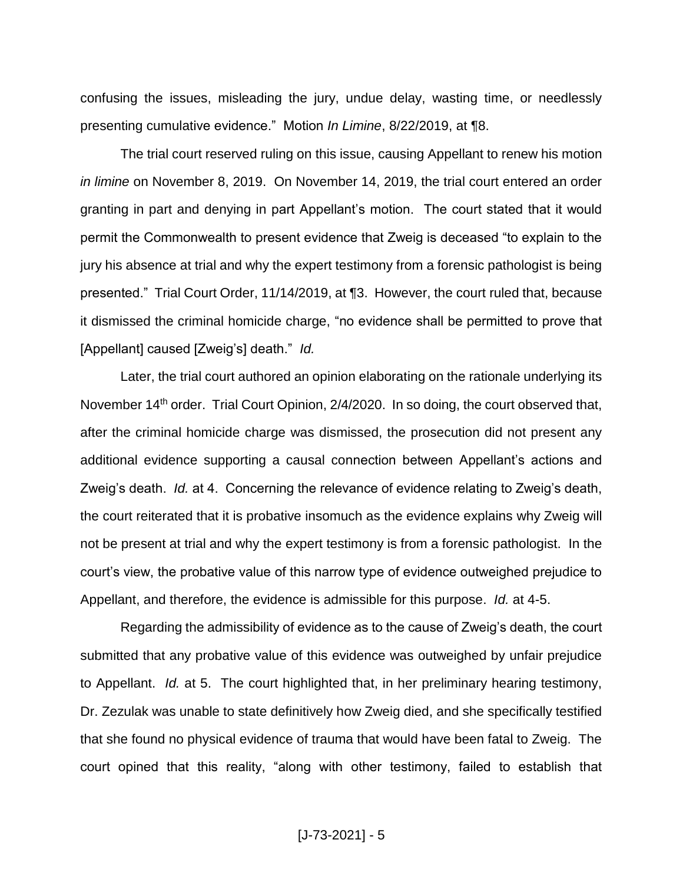confusing the issues, misleading the jury, undue delay, wasting time, or needlessly presenting cumulative evidence." Motion *In Limine*, 8/22/2019, at ¶8.

The trial court reserved ruling on this issue, causing Appellant to renew his motion *in limine* on November 8, 2019. On November 14, 2019, the trial court entered an order granting in part and denying in part Appellant's motion. The court stated that it would permit the Commonwealth to present evidence that Zweig is deceased "to explain to the jury his absence at trial and why the expert testimony from a forensic pathologist is being presented." Trial Court Order, 11/14/2019, at ¶3. However, the court ruled that, because it dismissed the criminal homicide charge, "no evidence shall be permitted to prove that [Appellant] caused [Zweig's] death." *Id.*

Later, the trial court authored an opinion elaborating on the rationale underlying its November 14<sup>th</sup> order. Trial Court Opinion, 2/4/2020. In so doing, the court observed that, after the criminal homicide charge was dismissed, the prosecution did not present any additional evidence supporting a causal connection between Appellant's actions and Zweig's death. *Id.* at 4. Concerning the relevance of evidence relating to Zweig's death, the court reiterated that it is probative insomuch as the evidence explains why Zweig will not be present at trial and why the expert testimony is from a forensic pathologist. In the court's view, the probative value of this narrow type of evidence outweighed prejudice to Appellant, and therefore, the evidence is admissible for this purpose. *Id.* at 4-5.

Regarding the admissibility of evidence as to the cause of Zweig's death, the court submitted that any probative value of this evidence was outweighed by unfair prejudice to Appellant. *Id.* at 5. The court highlighted that, in her preliminary hearing testimony, Dr. Zezulak was unable to state definitively how Zweig died, and she specifically testified that she found no physical evidence of trauma that would have been fatal to Zweig. The court opined that this reality, "along with other testimony, failed to establish that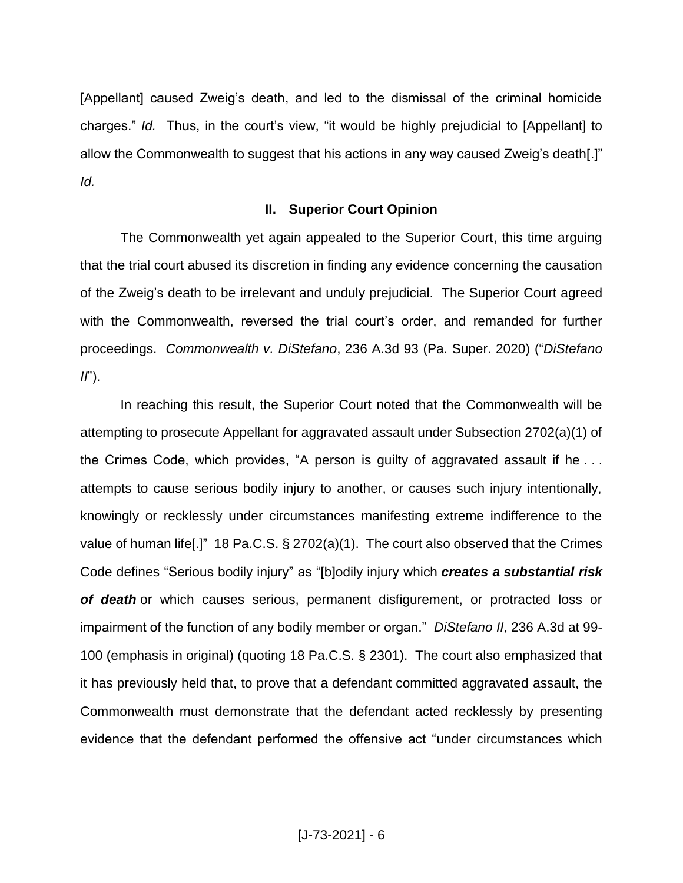[Appellant] caused Zweig's death, and led to the dismissal of the criminal homicide charges." *Id.* Thus, in the court's view, "it would be highly prejudicial to [Appellant] to allow the Commonwealth to suggest that his actions in any way caused Zweig's death[.]" *Id.*

## **II. Superior Court Opinion**

The Commonwealth yet again appealed to the Superior Court, this time arguing that the trial court abused its discretion in finding any evidence concerning the causation of the Zweig's death to be irrelevant and unduly prejudicial. The Superior Court agreed with the Commonwealth, reversed the trial court's order, and remanded for further proceedings. *Commonwealth v. DiStefano*, 236 A.3d 93 (Pa. Super. 2020) ("*DiStefano II*").

In reaching this result, the Superior Court noted that the Commonwealth will be attempting to prosecute Appellant for aggravated assault under Subsection 2702(a)(1) of the Crimes Code, which provides, "A person is guilty of aggravated assault if he . . . attempts to cause serious bodily injury to another, or causes such injury intentionally, knowingly or recklessly under circumstances manifesting extreme indifference to the value of human life[.]" 18 Pa.C.S. § 2702(a)(1). The court also observed that the Crimes Code defines "Serious bodily injury" as "[b]odily injury which *creates a substantial risk of death* or which causes serious, permanent disfigurement, or protracted loss or impairment of the function of any bodily member or organ." *DiStefano II*, 236 A.3d at 99- 100 (emphasis in original) (quoting 18 Pa.C.S. § 2301). The court also emphasized that it has previously held that, to prove that a defendant committed aggravated assault, the Commonwealth must demonstrate that the defendant acted recklessly by presenting evidence that the defendant performed the offensive act "under circumstances which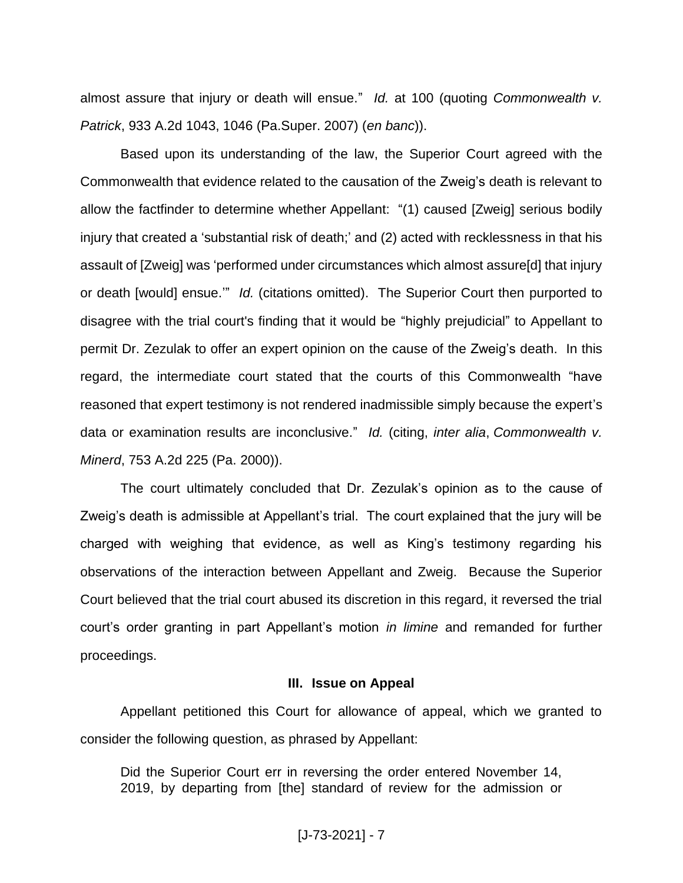almost assure that injury or death will ensue." *Id.* at 100 (quoting *Commonwealth v. Patrick*, 933 A.2d 1043, 1046 (Pa.Super. 2007) (*en banc*)).

Based upon its understanding of the law, the Superior Court agreed with the Commonwealth that evidence related to the causation of the Zweig's death is relevant to allow the factfinder to determine whether Appellant: "(1) caused [Zweig] serious bodily injury that created a 'substantial risk of death;' and (2) acted with recklessness in that his assault of [Zweig] was 'performed under circumstances which almost assure[d] that injury or death [would] ensue.'" *Id.* (citations omitted). The Superior Court then purported to disagree with the trial court's finding that it would be "highly prejudicial" to Appellant to permit Dr. Zezulak to offer an expert opinion on the cause of the Zweig's death. In this regard, the intermediate court stated that the courts of this Commonwealth "have reasoned that expert testimony is not rendered inadmissible simply because the expert's data or examination results are inconclusive." *Id.* (citing, *inter alia*, *Commonwealth v. Minerd*, 753 A.2d 225 (Pa. 2000)).

The court ultimately concluded that Dr. Zezulak's opinion as to the cause of Zweig's death is admissible at Appellant's trial. The court explained that the jury will be charged with weighing that evidence, as well as King's testimony regarding his observations of the interaction between Appellant and Zweig. Because the Superior Court believed that the trial court abused its discretion in this regard, it reversed the trial court's order granting in part Appellant's motion *in limine* and remanded for further proceedings.

### **III. Issue on Appeal**

Appellant petitioned this Court for allowance of appeal, which we granted to consider the following question, as phrased by Appellant:

Did the Superior Court err in reversing the order entered November 14, 2019, by departing from [the] standard of review for the admission or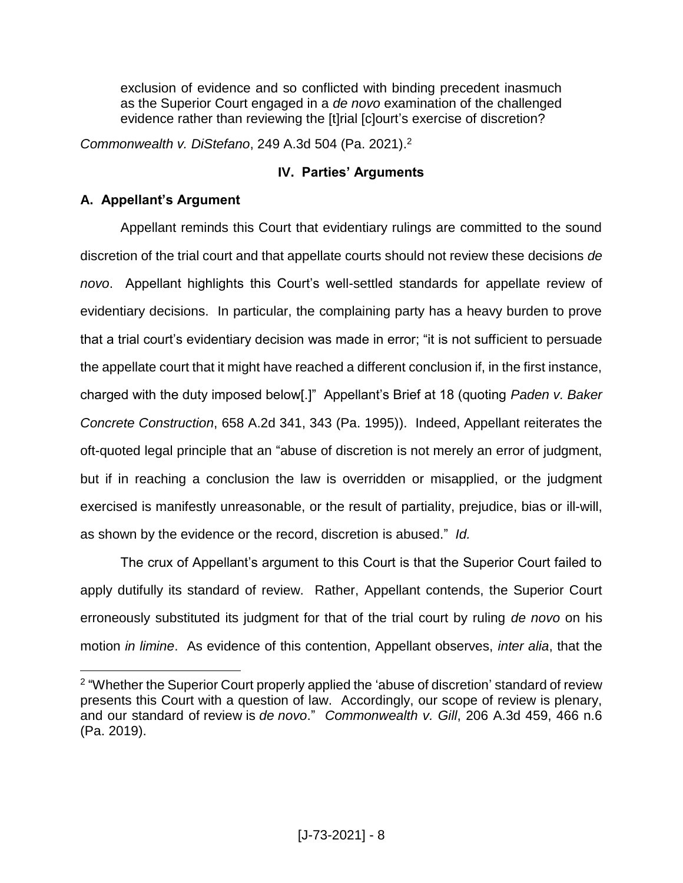exclusion of evidence and so conflicted with binding precedent inasmuch as the Superior Court engaged in a *de novo* examination of the challenged evidence rather than reviewing the [t]rial [c]ourt's exercise of discretion?

*Commonwealth v. DiStefano*, 249 A.3d 504 (Pa. 2021). 2

# **IV. Parties' Arguments**

# **A. Appellant's Argument**

Appellant reminds this Court that evidentiary rulings are committed to the sound discretion of the trial court and that appellate courts should not review these decisions *de novo*. Appellant highlights this Court's well-settled standards for appellate review of evidentiary decisions. In particular, the complaining party has a heavy burden to prove that a trial court's evidentiary decision was made in error; "it is not sufficient to persuade the appellate court that it might have reached a different conclusion if, in the first instance, charged with the duty imposed below[.]" Appellant's Brief at 18 (quoting *Paden v. Baker Concrete Construction*, 658 A.2d 341, 343 (Pa. 1995)). Indeed, Appellant reiterates the oft-quoted legal principle that an "abuse of discretion is not merely an error of judgment, but if in reaching a conclusion the law is overridden or misapplied, or the judgment exercised is manifestly unreasonable, or the result of partiality, prejudice, bias or ill-will, as shown by the evidence or the record, discretion is abused." *Id.*

The crux of Appellant's argument to this Court is that the Superior Court failed to apply dutifully its standard of review. Rather, Appellant contends, the Superior Court erroneously substituted its judgment for that of the trial court by ruling *de novo* on his motion *in limine*. As evidence of this contention, Appellant observes, *inter alia*, that the

 $\overline{a}$ <sup>2</sup> "Whether the Superior Court properly applied the 'abuse of discretion' standard of review presents this Court with a question of law. Accordingly, our scope of review is plenary, and our standard of review is *de novo*." *Commonwealth v. Gill*, 206 A.3d 459, 466 n.6 (Pa. 2019).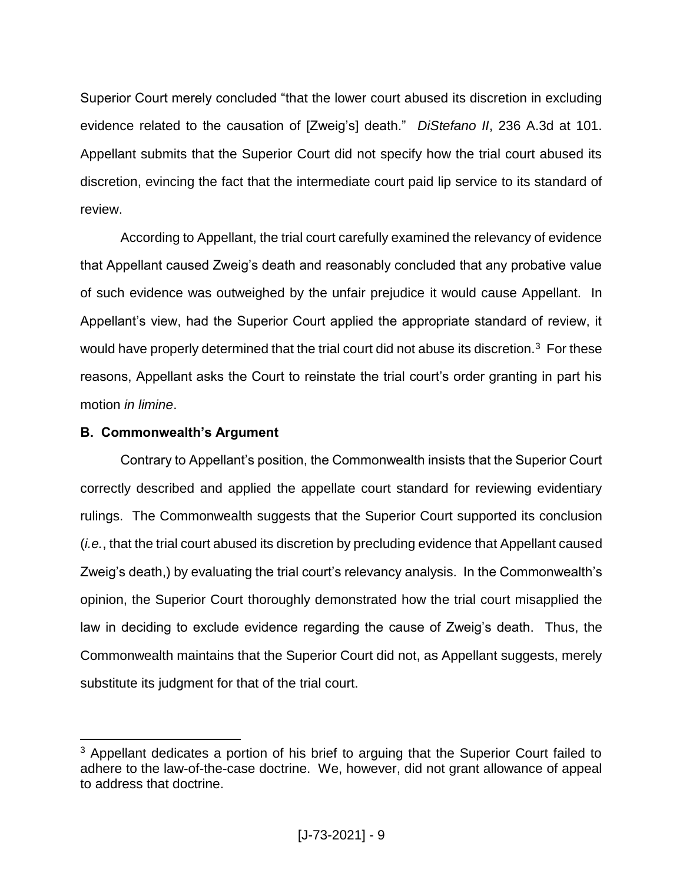Superior Court merely concluded "that the lower court abused its discretion in excluding evidence related to the causation of [Zweig's] death." *DiStefano II*, 236 A.3d at 101. Appellant submits that the Superior Court did not specify how the trial court abused its discretion, evincing the fact that the intermediate court paid lip service to its standard of review.

According to Appellant, the trial court carefully examined the relevancy of evidence that Appellant caused Zweig's death and reasonably concluded that any probative value of such evidence was outweighed by the unfair prejudice it would cause Appellant. In Appellant's view, had the Superior Court applied the appropriate standard of review, it would have properly determined that the trial court did not abuse its discretion.<sup>3</sup> For these reasons, Appellant asks the Court to reinstate the trial court's order granting in part his motion *in limine*.

# **B. Commonwealth's Argument**

 $\overline{a}$ 

Contrary to Appellant's position, the Commonwealth insists that the Superior Court correctly described and applied the appellate court standard for reviewing evidentiary rulings. The Commonwealth suggests that the Superior Court supported its conclusion (*i.e.*, that the trial court abused its discretion by precluding evidence that Appellant caused Zweig's death,) by evaluating the trial court's relevancy analysis. In the Commonwealth's opinion, the Superior Court thoroughly demonstrated how the trial court misapplied the law in deciding to exclude evidence regarding the cause of Zweig's death. Thus, the Commonwealth maintains that the Superior Court did not, as Appellant suggests, merely substitute its judgment for that of the trial court.

 $3$  Appellant dedicates a portion of his brief to arguing that the Superior Court failed to adhere to the law-of-the-case doctrine. We, however, did not grant allowance of appeal to address that doctrine.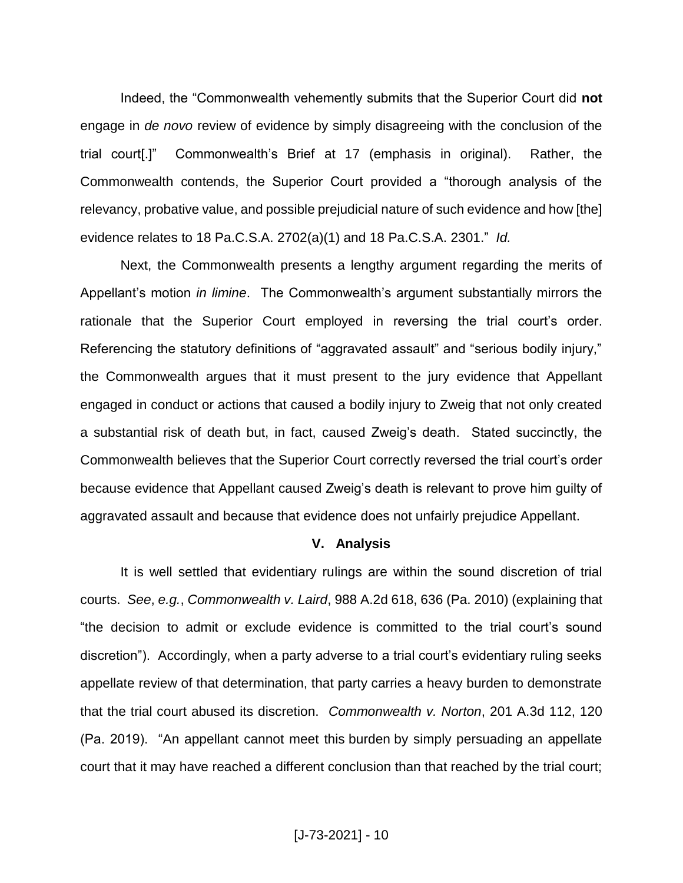Indeed, the "Commonwealth vehemently submits that the Superior Court did **not**  engage in *de novo* review of evidence by simply disagreeing with the conclusion of the trial court[.]" Commonwealth's Brief at 17 (emphasis in original). Rather, the Commonwealth contends, the Superior Court provided a "thorough analysis of the relevancy, probative value, and possible prejudicial nature of such evidence and how [the] evidence relates to 18 Pa.C.S.A. 2702(a)(1) and 18 Pa.C.S.A. 2301." *Id.*

Next, the Commonwealth presents a lengthy argument regarding the merits of Appellant's motion *in limine*. The Commonwealth's argument substantially mirrors the rationale that the Superior Court employed in reversing the trial court's order. Referencing the statutory definitions of "aggravated assault" and "serious bodily injury," the Commonwealth argues that it must present to the jury evidence that Appellant engaged in conduct or actions that caused a bodily injury to Zweig that not only created a substantial risk of death but, in fact, caused Zweig's death. Stated succinctly, the Commonwealth believes that the Superior Court correctly reversed the trial court's order because evidence that Appellant caused Zweig's death is relevant to prove him guilty of aggravated assault and because that evidence does not unfairly prejudice Appellant.

### **V. Analysis**

It is well settled that evidentiary rulings are within the sound discretion of trial courts. *See*, *e.g.*, *Commonwealth v. Laird*, 988 A.2d 618, 636 (Pa. 2010) (explaining that "the decision to admit or exclude evidence is committed to the trial court's sound discretion"). Accordingly, when a party adverse to a trial court's evidentiary ruling seeks appellate review of that determination, that party carries a heavy burden to demonstrate that the trial court abused its discretion. *Commonwealth v. Norton*, 201 A.3d 112, 120 (Pa. 2019). "An appellant cannot meet this burden by simply persuading an appellate court that it may have reached a different conclusion than that reached by the trial court;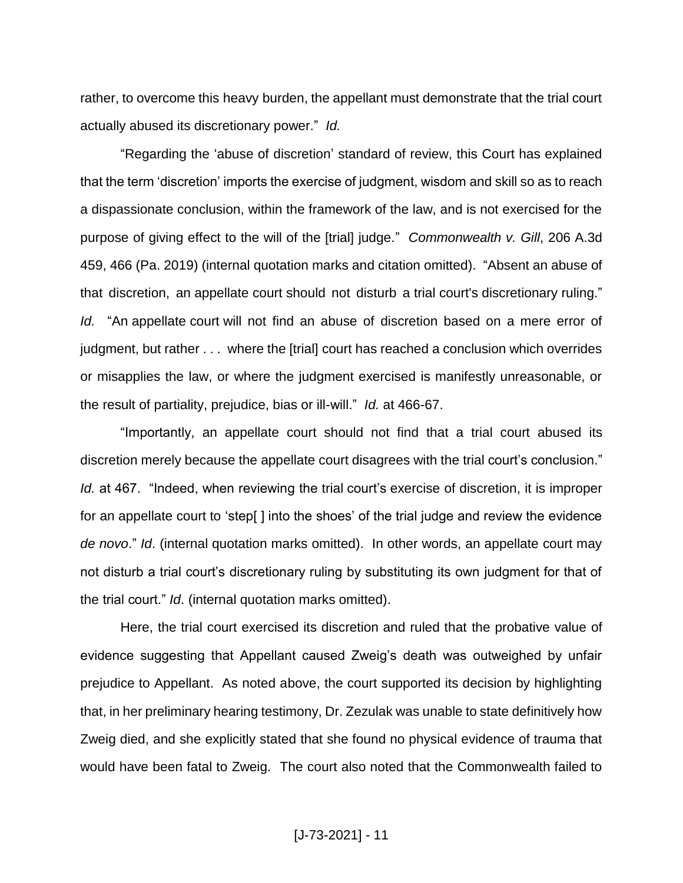rather, to overcome this heavy burden, the appellant must demonstrate that the trial court actually abused its discretionary power." *Id.*

"Regarding the 'abuse of discretion' standard of review, this Court has explained that the term 'discretion' imports the exercise of judgment, wisdom and skill so as to reach a dispassionate conclusion, within the framework of the law, and is not exercised for the purpose of giving effect to the will of the [trial] judge." *Commonwealth v. Gill*, 206 A.3d 459, 466 (Pa. 2019) (internal quotation marks and citation omitted). "Absent an abuse of that discretion, an appellate court should not disturb a trial court's discretionary ruling." *Id.* "An appellate court will not find an abuse of discretion based on a mere error of judgment, but rather . . . where the [trial] court has reached a conclusion which overrides or misapplies the law, or where the judgment exercised is manifestly unreasonable, or the result of partiality, prejudice, bias or ill-will." *Id.* at 466-67.

"Importantly, an appellate court should not find that a trial court abused its discretion merely because the appellate court disagrees with the trial court's conclusion." *Id.* at 467. "Indeed, when reviewing the trial court's exercise of discretion, it is improper for an appellate court to 'step[ ] into the shoes' of the trial judge and review the evidence *de novo*." *Id*. (internal quotation marks omitted). In other words, an appellate court may not disturb a trial court's discretionary ruling by substituting its own judgment for that of the trial court." *Id*. (internal quotation marks omitted).

Here, the trial court exercised its discretion and ruled that the probative value of evidence suggesting that Appellant caused Zweig's death was outweighed by unfair prejudice to Appellant. As noted above, the court supported its decision by highlighting that, in her preliminary hearing testimony, Dr. Zezulak was unable to state definitively how Zweig died, and she explicitly stated that she found no physical evidence of trauma that would have been fatal to Zweig. The court also noted that the Commonwealth failed to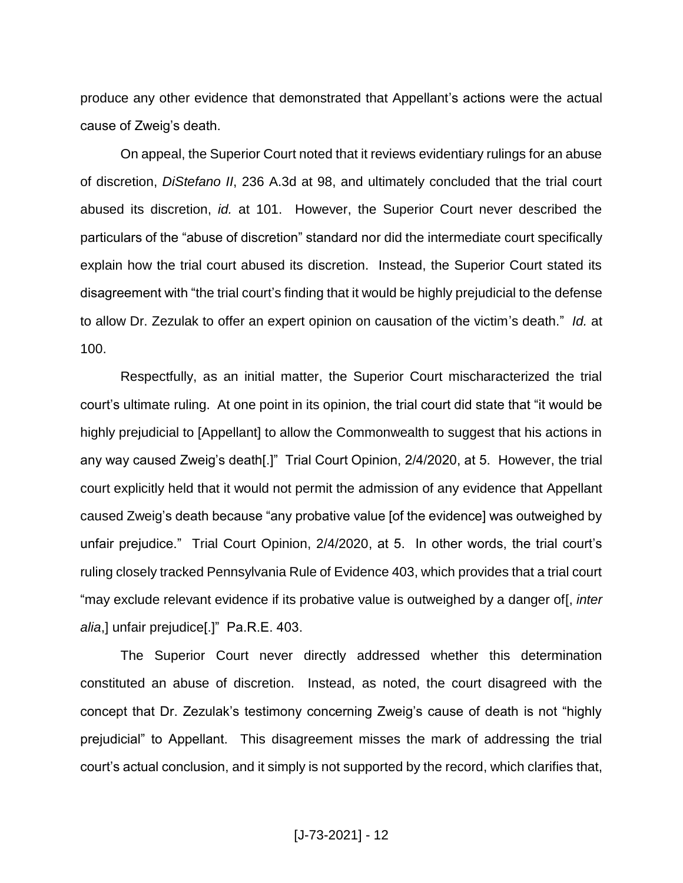produce any other evidence that demonstrated that Appellant's actions were the actual cause of Zweig's death.

On appeal, the Superior Court noted that it reviews evidentiary rulings for an abuse of discretion, *DiStefano II*, 236 A.3d at 98, and ultimately concluded that the trial court abused its discretion, *id.* at 101. However, the Superior Court never described the particulars of the "abuse of discretion" standard nor did the intermediate court specifically explain how the trial court abused its discretion. Instead, the Superior Court stated its disagreement with "the trial court's finding that it would be highly prejudicial to the defense to allow Dr. Zezulak to offer an expert opinion on causation of the victim's death." *Id.* at 100.

Respectfully, as an initial matter, the Superior Court mischaracterized the trial court's ultimate ruling. At one point in its opinion, the trial court did state that "it would be highly prejudicial to [Appellant] to allow the Commonwealth to suggest that his actions in any way caused Zweig's death[.]" Trial Court Opinion, 2/4/2020, at 5. However, the trial court explicitly held that it would not permit the admission of any evidence that Appellant caused Zweig's death because "any probative value [of the evidence] was outweighed by unfair prejudice." Trial Court Opinion, 2/4/2020, at 5. In other words, the trial court's ruling closely tracked Pennsylvania Rule of Evidence 403, which provides that a trial court "may exclude relevant evidence if its probative value is outweighed by a danger of[, *inter alia*,] unfair prejudice[.]" Pa.R.E. 403.

The Superior Court never directly addressed whether this determination constituted an abuse of discretion. Instead, as noted, the court disagreed with the concept that Dr. Zezulak's testimony concerning Zweig's cause of death is not "highly prejudicial" to Appellant. This disagreement misses the mark of addressing the trial court's actual conclusion, and it simply is not supported by the record, which clarifies that,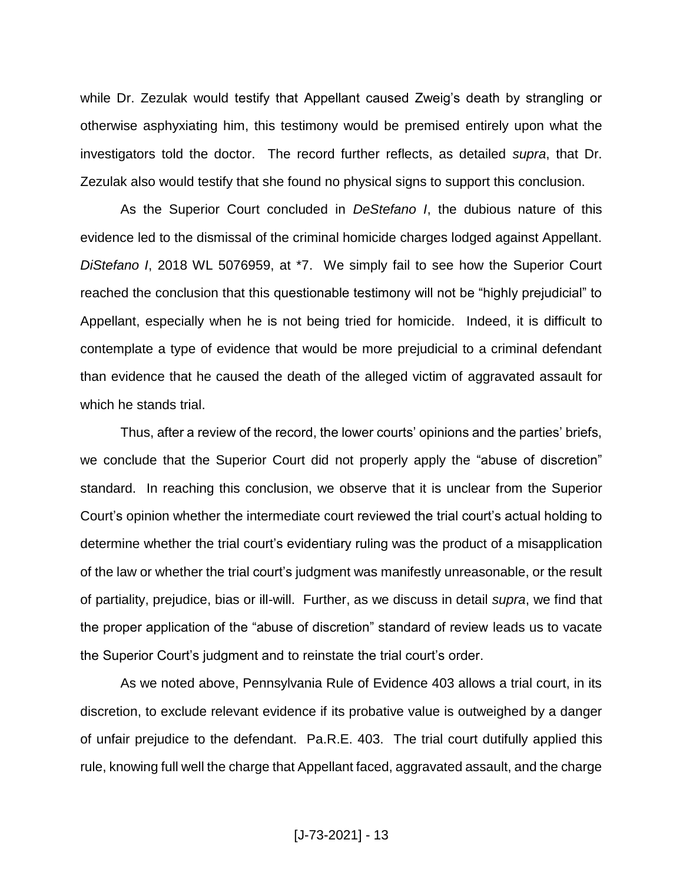while Dr. Zezulak would testify that Appellant caused Zweig's death by strangling or otherwise asphyxiating him, this testimony would be premised entirely upon what the investigators told the doctor. The record further reflects, as detailed *supra*, that Dr. Zezulak also would testify that she found no physical signs to support this conclusion.

As the Superior Court concluded in *DeStefano I*, the dubious nature of this evidence led to the dismissal of the criminal homicide charges lodged against Appellant. *DiStefano I*, 2018 WL 5076959, at \*7. We simply fail to see how the Superior Court reached the conclusion that this questionable testimony will not be "highly prejudicial" to Appellant, especially when he is not being tried for homicide. Indeed, it is difficult to contemplate a type of evidence that would be more prejudicial to a criminal defendant than evidence that he caused the death of the alleged victim of aggravated assault for which he stands trial.

Thus, after a review of the record, the lower courts' opinions and the parties' briefs, we conclude that the Superior Court did not properly apply the "abuse of discretion" standard. In reaching this conclusion, we observe that it is unclear from the Superior Court's opinion whether the intermediate court reviewed the trial court's actual holding to determine whether the trial court's evidentiary ruling was the product of a misapplication of the law or whether the trial court's judgment was manifestly unreasonable, or the result of partiality, prejudice, bias or ill-will. Further, as we discuss in detail *supra*, we find that the proper application of the "abuse of discretion" standard of review leads us to vacate the Superior Court's judgment and to reinstate the trial court's order.

As we noted above, Pennsylvania Rule of Evidence 403 allows a trial court, in its discretion, to exclude relevant evidence if its probative value is outweighed by a danger of unfair prejudice to the defendant. Pa.R.E. 403. The trial court dutifully applied this rule, knowing full well the charge that Appellant faced, aggravated assault, and the charge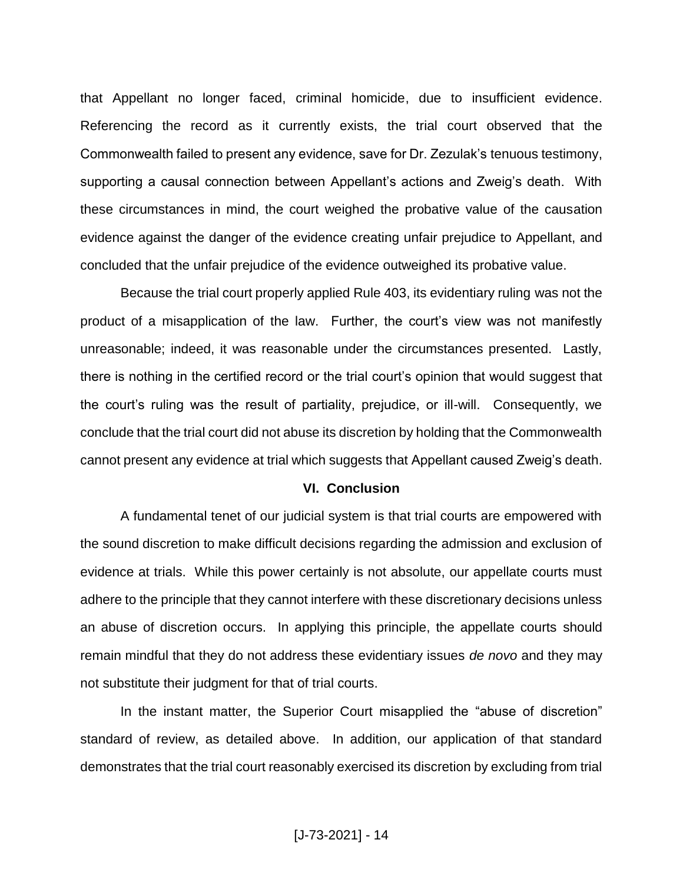that Appellant no longer faced, criminal homicide, due to insufficient evidence. Referencing the record as it currently exists, the trial court observed that the Commonwealth failed to present any evidence, save for Dr. Zezulak's tenuous testimony, supporting a causal connection between Appellant's actions and Zweig's death. With these circumstances in mind, the court weighed the probative value of the causation evidence against the danger of the evidence creating unfair prejudice to Appellant, and concluded that the unfair prejudice of the evidence outweighed its probative value.

Because the trial court properly applied Rule 403, its evidentiary ruling was not the product of a misapplication of the law. Further, the court's view was not manifestly unreasonable; indeed, it was reasonable under the circumstances presented. Lastly, there is nothing in the certified record or the trial court's opinion that would suggest that the court's ruling was the result of partiality, prejudice, or ill-will. Consequently, we conclude that the trial court did not abuse its discretion by holding that the Commonwealth cannot present any evidence at trial which suggests that Appellant caused Zweig's death.

#### **VI. Conclusion**

A fundamental tenet of our judicial system is that trial courts are empowered with the sound discretion to make difficult decisions regarding the admission and exclusion of evidence at trials. While this power certainly is not absolute, our appellate courts must adhere to the principle that they cannot interfere with these discretionary decisions unless an abuse of discretion occurs. In applying this principle, the appellate courts should remain mindful that they do not address these evidentiary issues *de novo* and they may not substitute their judgment for that of trial courts.

In the instant matter, the Superior Court misapplied the "abuse of discretion" standard of review, as detailed above. In addition, our application of that standard demonstrates that the trial court reasonably exercised its discretion by excluding from trial